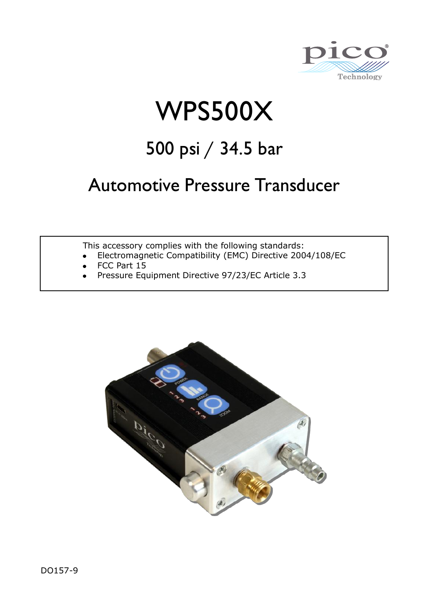

# WPS500X

## 500 psi / 34.5 bar

## Automotive Pressure Transducer

This accessory complies with the following standards:

- Electromagnetic Compatibility (EMC) Directive 2004/108/EC
- FCC Part 15
- Pressure Equipment Directive 97/23/EC Article 3.3

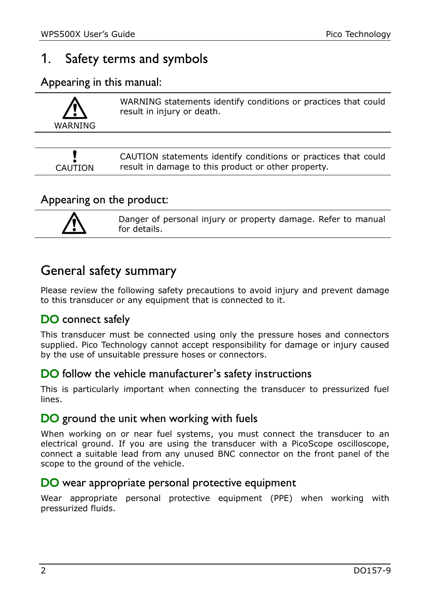## 1. Safety terms and symbols

Appearing in this manual:

| WARNING | WARNING statements identify conditions or practices that could<br>result in injury or death. |
|---------|----------------------------------------------------------------------------------------------|
|         |                                                                                              |
|         | CAUTION statements identify conditions or practices that could                               |

result in damage to this product or other property.

#### Appearing on the product:



CAUTION

Danger of personal injury or property damage. Refer to manual for details.

## General safety summary

Please review the following safety precautions to avoid injury and prevent damage to this transducer or any equipment that is connected to it.

#### DO connect safely

This transducer must be connected using only the pressure hoses and connectors supplied. Pico Technology cannot accept responsibility for damage or injury caused by the use of unsuitable pressure hoses or connectors.

#### DO follow the vehicle manufacturer's safety instructions

This is particularly important when connecting the transducer to pressurized fuel lines.

#### DO ground the unit when working with fuels

When working on or near fuel systems, you must connect the transducer to an electrical ground. If you are using the transducer with a PicoScope oscilloscope, connect a suitable lead from any unused BNC connector on the front panel of the scope to the ground of the vehicle.

#### DO wear appropriate personal protective equipment

Wear appropriate personal protective equipment (PPE) when working with pressurized fluids.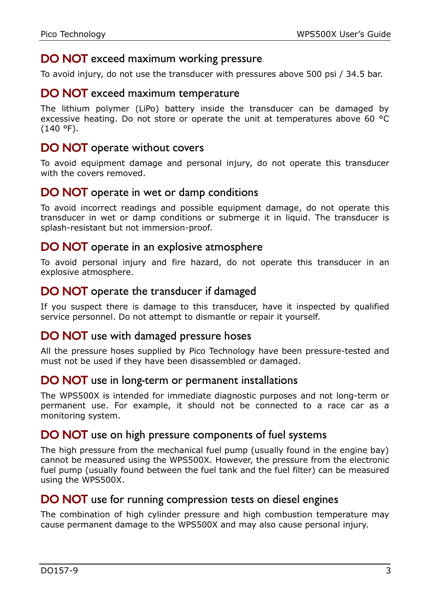#### DO NOT exceed maximum working pressure

To avoid injury, do not use the transducer with pressures above 500 psi / 34.5 bar.

#### DO NOT exceed maximum temperature

The lithium polymer (LiPo) battery inside the transducer can be damaged by excessive heating. Do not store or operate the unit at temperatures above 60 °C (140 °F).

#### DO NOT operate without covers

To avoid equipment damage and personal injury, do not operate this transducer with the covers removed

#### DO NOT operate in wet or damp conditions

To avoid incorrect readings and possible equipment damage, do not operate this transducer in wet or damp conditions or submerge it in liquid. The transducer is splash-resistant but not immersion-proof.

#### DO NOT operate in an explosive atmosphere

To avoid personal injury and fire hazard, do not operate this transducer in an explosive atmosphere.

#### DO NOT operate the transducer if damaged

If you suspect there is damage to this transducer, have it inspected by qualified service personnel. Do not attempt to dismantle or repair it yourself.

#### DO NOT use with damaged pressure hoses

All the pressure hoses supplied by Pico Technology have been pressure-tested and must not be used if they have been disassembled or damaged.

#### DO NOT use in long-term or permanent installations

The WPS500X is intended for immediate diagnostic purposes and not long-term or permanent use. For example, it should not be connected to a race car as a monitoring system.

#### <span id="page-2-0"></span>DO NOT use on high pressure components of fuel systems

The high pressure from the mechanical fuel pump (usually found in the engine bay) cannot be measured using the WPS500X. However, the pressure from the electronic fuel pump (usually found between the fuel tank and the fuel filter) can be measured using the WPS500X.

#### DO NOT use for running compression tests on diesel engines

The combination of high cylinder pressure and high combustion temperature may cause permanent damage to the WPS500X and may also cause personal injury.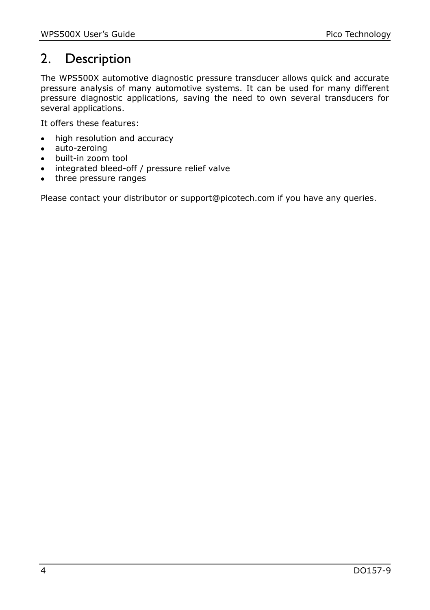## 2. Description

The WPS500X automotive diagnostic pressure transducer allows quick and accurate pressure analysis of many automotive systems. It can be used for many different pressure diagnostic applications, saving the need to own several transducers for several applications.

It offers these features:

- high resolution and accuracy
- auto-zeroing
- built-in zoom tool
- integrated bleed-off / pressure relief valve
- three pressure ranges

Please contact your distributor or support@picotech.com if you have any queries.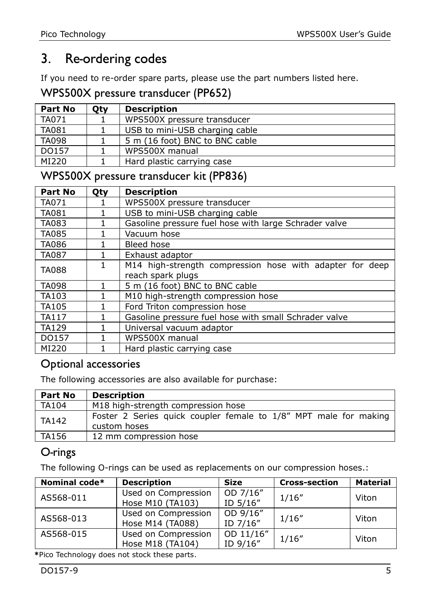## 3. Re-ordering codes

If you need to re-order spare parts, please use the part numbers listed here.

WPS500X pressure transducer (PP652)

| Part No      | Otv | <b>Description</b>             |
|--------------|-----|--------------------------------|
| TA071        |     | WPS500X pressure transducer    |
| TA081        |     | USB to mini-USB charging cable |
| <b>TA098</b> |     | 5 m (16 foot) BNC to BNC cable |
| DO157        |     | WPS500X manual                 |
| MI220        |     | Hard plastic carrying case     |

#### WPS500X pressure transducer kit (PP836)

| Part No      | Qty | <b>Description</b>                                       |
|--------------|-----|----------------------------------------------------------|
| TA071        |     | WPS500X pressure transducer                              |
| <b>TA081</b> |     | USB to mini-USB charging cable                           |
| <b>TA083</b> |     | Gasoline pressure fuel hose with large Schrader valve    |
| <b>TA085</b> |     | Vacuum hose                                              |
| <b>TA086</b> |     | Bleed hose                                               |
| <b>TA087</b> |     | Exhaust adaptor                                          |
| <b>TA088</b> | 1   | M14 high-strength compression hose with adapter for deep |
|              |     | reach spark plugs                                        |
| <b>TA098</b> |     | 5 m (16 foot) BNC to BNC cable                           |
| TA103        |     | M10 high-strength compression hose                       |
| <b>TA105</b> |     | Ford Triton compression hose                             |
| <b>TA117</b> |     | Gasoline pressure fuel hose with small Schrader valve    |
| <b>TA129</b> |     | Universal vacuum adaptor                                 |
| DO157        |     | WPS500X manual                                           |
| MI220        |     | Hard plastic carrying case                               |

#### Optional accessories

The following accessories are also available for purchase:

| Part No | <b>Description</b>                                                               |  |  |
|---------|----------------------------------------------------------------------------------|--|--|
| TA104   | M18 high-strength compression hose                                               |  |  |
| TA142   | Foster 2 Series quick coupler female to 1/8" MPT male for making<br>custom hoses |  |  |
| TA156   | 12 mm compression hose                                                           |  |  |

#### O-rings

The following O-rings can be used as replacements on our compression hoses.:

| Nominal code* | <b>Description</b>                      | <b>Size</b>           | <b>Cross-section</b> | <b>Material</b> |
|---------------|-----------------------------------------|-----------------------|----------------------|-----------------|
| AS568-011     | Used on Compression<br>Hose M10 (TA103) | OD 7/16"<br>ID 5/16"  | 1/16''               | Viton           |
| AS568-013     | Used on Compression<br>Hose M14 (TA088) | OD 9/16"<br>ID 7/16"  | 1/16''               | Viton           |
| AS568-015     | Used on Compression<br>Hose M18 (TA104) | OD 11/16"<br>ID 9/16" | 1/16''               | Viton           |
|               |                                         |                       |                      |                 |

**\***Pico Technology does not stock these parts.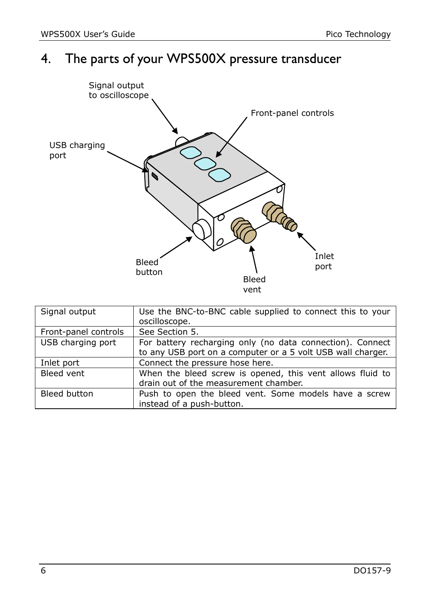## 4. The parts of your WPS500X pressure transducer



| Signal output        | Use the BNC-to-BNC cable supplied to connect this to your<br>oscilloscope.                                               |
|----------------------|--------------------------------------------------------------------------------------------------------------------------|
| Front-panel controls | See Section 5.                                                                                                           |
| USB charging port    | For battery recharging only (no data connection). Connect<br>to any USB port on a computer or a 5 volt USB wall charger. |
| Inlet port           | Connect the pressure hose here.                                                                                          |
| Bleed vent           | When the bleed screw is opened, this vent allows fluid to<br>drain out of the measurement chamber.                       |
| Bleed button         | Push to open the bleed vent. Some models have a screw<br>instead of a push-button.                                       |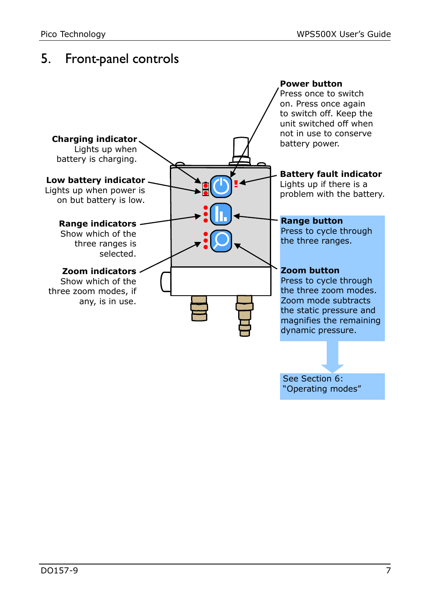## <span id="page-6-0"></span>5. Front-panel controls

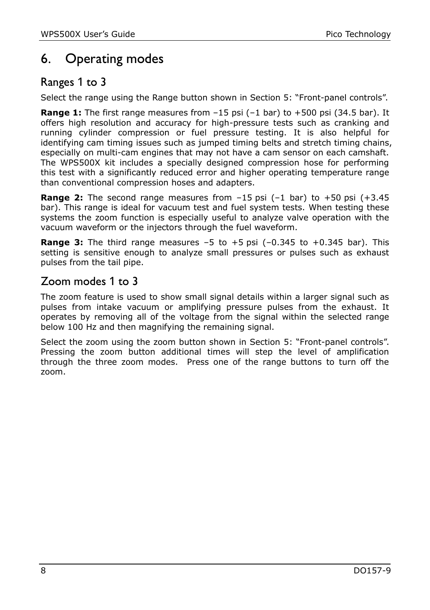## <span id="page-7-0"></span>6. Operating modes

#### Ranges 1 to 3

Select the range using the Range button shown in Section [5](#page-6-0): "[Front-panel controls](#page-6-0)".

**Range 1:** The first range measures from –15 psi (–1 bar) to +500 psi (34.5 bar). It offers high resolution and accuracy for high-pressure tests such as cranking and running cylinder compression or fuel pressure testing. It is also helpful for identifying cam timing issues such as jumped timing belts and stretch timing chains, especially on multi-cam engines that may not have a cam sensor on each camshaft. The WPS500X kit includes a specially designed compression hose for performing this test with a significantly reduced error and higher operating temperature range than conventional compression hoses and adapters.

**Range 2:** The second range measures from –15 psi (–1 bar) to +50 psi (+3.45 bar). This range is ideal for vacuum test and fuel system tests. When testing these systems the zoom function is especially useful to analyze valve operation with the vacuum waveform or the injectors through the fuel waveform.

**Range 3:** The third range measures -5 to +5 psi (-0.345 to +0.345 bar). This setting is sensitive enough to analyze small pressures or pulses such as exhaust pulses from the tail pipe.

#### Zoom modes 1 to 3

The zoom feature is used to show small signal details within a larger signal such as pulses from intake vacuum or amplifying pressure pulses from the exhaust. It operates by removing all of the voltage from the signal within the selected range below 100 Hz and then magnifying the remaining signal.

Select the zoom using the zoom button shown in Section [5:](#page-6-0) "[Front-panel controls](#page-6-0)". Pressing the zoom button additional times will step the level of amplification through the three zoom modes. Press one of the range buttons to turn off the zoom.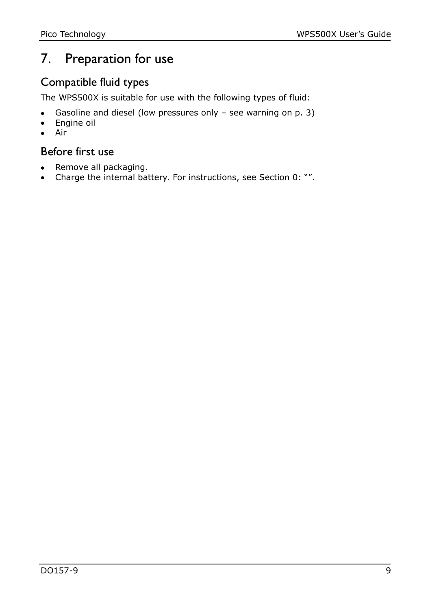## 7. Preparation for use

#### Compatible fluid types

The WPS500X is suitable for use with the following types of fluid:

- Gasoline and diesel (low pressures only see warning on p. [3\)](#page-2-0)  $\bullet$
- Engine oil  $\bullet$
- $\bullet$ Air

#### Before first use

- Remove all packaging.
- Charge the internal battery. For instructions, see Section [0](#page-2-0): "".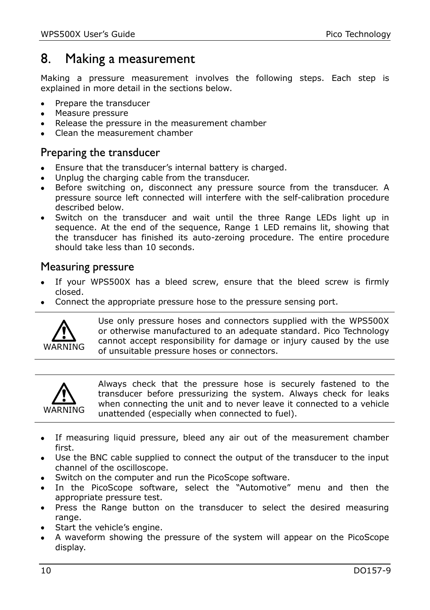### <span id="page-9-0"></span>8. Making a measurement

Making a pressure measurement involves the following steps. Each step is explained in more detail in the sections below.

- Prepare the transducer  $\bullet$
- Measure pressure
- Release the pressure in the measurement chamber
- Clean the measurement chamber  $\bullet$

#### Preparing the transducer

- Ensure that the transducer's internal battery is charged.
- Unplug the charging cable from the transducer.
- Before switching on, disconnect any pressure source from the transducer. A pressure source left connected will interfere with the self-calibration procedure described below.
- Switch on the transducer and wait until the three Range LEDs light up in sequence. At the end of the sequence, Range 1 LED remains lit, showing that the transducer has finished its auto-zeroing procedure. The entire procedure should take less than 10 seconds.

#### Measuring pressure

- If your WPS500X has a bleed screw, ensure that the bleed screw is firmly closed.
- Connect the appropriate pressure hose to the pressure sensing port.



Use only pressure hoses and connectors supplied with the WPS500X or otherwise manufactured to an adequate standard. Pico Technology cannot accept responsibility for damage or injury caused by the use of unsuitable pressure hoses or connectors.



Always check that the pressure hose is securely fastened to the transducer before pressurizing the system. Always check for leaks when connecting the unit and to never leave it connected to a vehicle unattended (especially when connected to fuel).

- If measuring liquid pressure, bleed any air out of the measurement chamber first.
- Use the BNC cable supplied to connect the output of the transducer to the input channel of the oscilloscope.
- Switch on the computer and run the PicoScope software.
- In the PicoScope software, select the "Automotive" menu and then the appropriate pressure test.
- Press the Range button on the transducer to select the desired measuring range.
- Start the vehicle's engine.
- A waveform showing the pressure of the system will appear on the PicoScope display.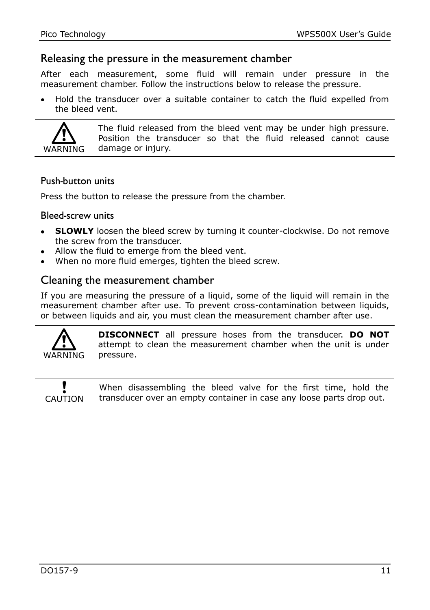#### Releasing the pressure in the measurement chamber

After each measurement, some fluid will remain under pressure in the measurement chamber. Follow the instructions below to release the pressure.

Hold the transducer over a suitable container to catch the fluid expelled from the bleed vent.



The fluid released from the bleed vent may be under high pressure. Position the transducer so that the fluid released cannot cause damage or injury.

#### Push-button units

Press the button to release the pressure from the chamber.

#### Bleed-screw units

- **SLOWLY** loosen the bleed screw by turning it counter-clockwise. Do not remove the screw from the transducer.
- Allow the fluid to emerge from the bleed vent.
- When no more fluid emerges, tighten the bleed screw.

#### Cleaning the measurement chamber

If you are measuring the pressure of a liquid, some of the liquid will remain in the measurement chamber after use. To prevent cross-contamination between liquids, or between liquids and air, you must clean the measurement chamber after use.



**DISCONNECT** all pressure hoses from the transducer. **DO NOT** attempt to clean the measurement chamber when the unit is under pressure.

CAUTION When disassembling the bleed valve for the first time, hold the transducer over an empty container in case any loose parts drop out.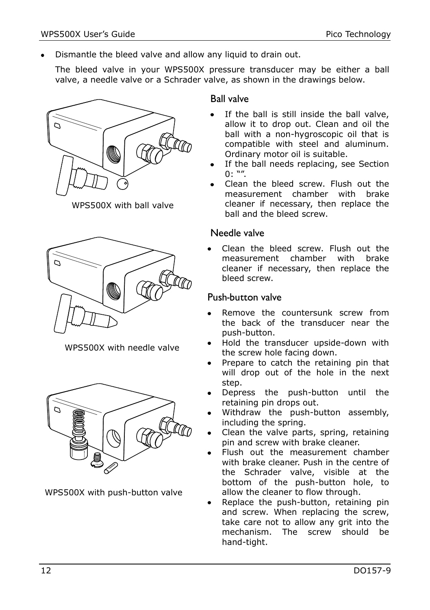$\bullet$ Dismantle the bleed valve and allow any liquid to drain out.

The bleed valve in your WPS500X pressure transducer may be either a ball valve, a needle valve or a Schrader valve, as shown in the drawings below.



WPS500X with ball valve



WPS500X with needle valve



WPS500X with push-button valve

#### Ball valve

- If the ball is still inside the ball valve, allow it to drop out. Clean and oil the ball with a non-hygroscopic oil that is compatible with steel and aluminum. Ordinary motor oil is suitable.
- If the ball needs replacing, see Section  $0: "$  $0: "$
- Clean the bleed screw. Flush out the measurement chamber with brake cleaner if necessary, then replace the ball and the bleed screw.

#### Needle valve

Clean the bleed screw. Flush out the measurement chamber with brake cleaner if necessary, then replace the bleed screw.

#### Push-button valve

- Remove the countersunk screw from the back of the transducer near the push-button.
- Hold the transducer upside-down with the screw hole facing down.
- Prepare to catch the retaining pin that will drop out of the hole in the next step.
- Depress the push-button until the retaining pin drops out.
- Withdraw the push-button assembly, including the spring.
- Clean the valve parts, spring, retaining pin and screw with brake cleaner.
- Flush out the measurement chamber with brake cleaner. Push in the centre of the Schrader valve, visible at the bottom of the push-button hole, to allow the cleaner to flow through.
- Replace the push-button, retaining pin and screw. When replacing the screw, take care not to allow any grit into the mechanism. The screw should be hand-tight.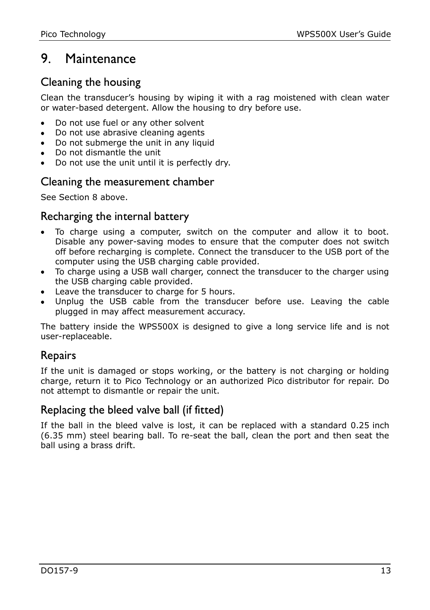## 9. Maintenance

#### Cleaning the housing

Clean the transducer's housing by wiping it with a rag moistened with clean water or water-based detergent. Allow the housing to dry before use.

- Do not use fuel or any other solvent
- Do not use abrasive cleaning agents
- Do not submerge the unit in any liquid
- Do not dismantle the unit
- Do not use the unit until it is perfectly dry.

#### Cleaning the measurement chamber

See Section [8 above.](#page-9-0)

#### Recharging the internal battery

- To charge using a computer, switch on the computer and allow it to boot. Disable any power-saving modes to ensure that the computer does not switch off before recharging is complete. Connect the transducer to the USB port of the computer using the USB charging cable provided.
- To charge using a USB wall charger, connect the transducer to the charger using the USB charging cable provided.
- Leave the transducer to charge for 5 hours.
- Unplug the USB cable from the transducer before use. Leaving the cable plugged in may affect measurement accuracy.

The battery inside the WPS500X is designed to give a long service life and is not user-replaceable.

#### Repairs

If the unit is damaged or stops working, or the battery is not charging or holding charge, return it to Pico Technology or an authorized Pico distributor for repair. Do not attempt to dismantle or repair the unit.

#### Replacing the bleed valve ball (if fitted)

If the ball in the bleed valve is lost, it can be replaced with a standard 0.25 inch (6.35 mm) steel bearing ball. To re-seat the ball, clean the port and then seat the ball using a brass drift.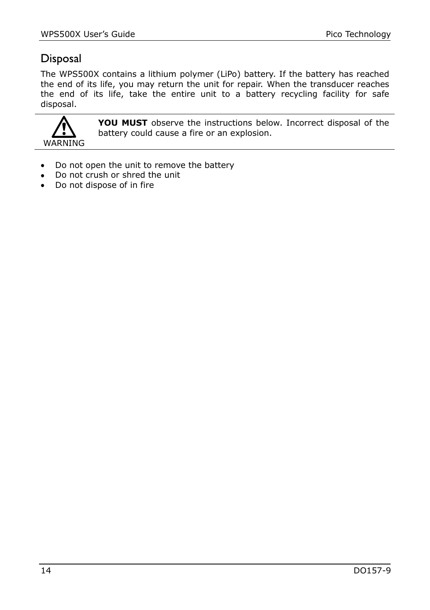## Disposal

The WPS500X contains a lithium polymer (LiPo) battery. If the battery has reached the end of its life, you may return the unit for repair. When the transducer reaches the end of its life, take the entire unit to a battery recycling facility for safe disposal.



**YOU MUST** observe the instructions below. Incorrect disposal of the battery could cause a fire or an explosion.

- Do not open the unit to remove the battery
- Do not crush or shred the unit
- Do not dispose of in fire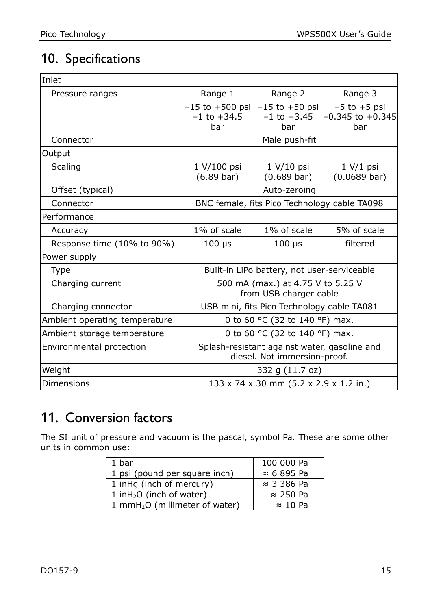## 10. Specifications

| Inlet                         |                                                                              |                                              |                                                 |  |
|-------------------------------|------------------------------------------------------------------------------|----------------------------------------------|-------------------------------------------------|--|
| Pressure ranges               | Range 1                                                                      | Range 2                                      | Range 3                                         |  |
|                               | $-15$ to $+500$ psi<br>$-1$ to $+34.5$<br>bar                                | $-15$ to $+50$ psi<br>$-1$ to $+3.45$<br>bar | $-5$ to $+5$ psi<br>$-0.345$ to $+0.345$<br>bar |  |
| Connector                     | Male push-fit                                                                |                                              |                                                 |  |
| Output                        |                                                                              |                                              |                                                 |  |
| Scaling                       | 1 V/100 psi<br>$(6.89 \text{ bar})$                                          | $1 V/10$ psi<br>$(0.689 \text{ bar})$        | 1 V/1 psi<br>$(0.0689 \text{ bar})$             |  |
| Offset (typical)              | Auto-zeroing                                                                 |                                              |                                                 |  |
| Connector                     | BNC female, fits Pico Technology cable TA098                                 |                                              |                                                 |  |
| Performance                   |                                                                              |                                              |                                                 |  |
| Accuracy                      | 1% of scale                                                                  | 1% of scale                                  | 5% of scale                                     |  |
| Response time (10% to 90%)    | $100 \mu s$                                                                  | $100 \mu s$                                  | filtered                                        |  |
| Power supply                  |                                                                              |                                              |                                                 |  |
| <b>Type</b>                   | Built-in LiPo battery, not user-serviceable                                  |                                              |                                                 |  |
| Charging current              | 500 mA (max.) at 4.75 V to 5.25 V<br>from USB charger cable                  |                                              |                                                 |  |
| Charging connector            | USB mini, fits Pico Technology cable TA081                                   |                                              |                                                 |  |
| Ambient operating temperature | 0 to 60 °C (32 to 140 °F) max.                                               |                                              |                                                 |  |
| Ambient storage temperature   | 0 to 60 °C (32 to 140 °F) max.                                               |                                              |                                                 |  |
| Environmental protection      | Splash-resistant against water, gasoline and<br>diesel. Not immersion-proof. |                                              |                                                 |  |
| Weight                        | 332 g (11.7 oz)                                                              |                                              |                                                 |  |
| Dimensions                    | 133 x 74 x 30 mm (5.2 x 2.9 x 1.2 in.)                                       |                                              |                                                 |  |

## 11. Conversion factors

The SI unit of pressure and vacuum is the pascal, symbol Pa. These are some other units in common use:

| 1 bar                                      | 100 000 Pa         |
|--------------------------------------------|--------------------|
| 1 psi (pound per square inch)              | $\approx$ 6 895 Pa |
| 1 inHq (inch of mercury)                   | $\approx$ 3 386 Pa |
| 1 inH <sub>2</sub> O (inch of water)       | $\approx$ 250 Pa   |
| 1 mmH <sub>2</sub> O (millimeter of water) | $\approx$ 10 Pa    |